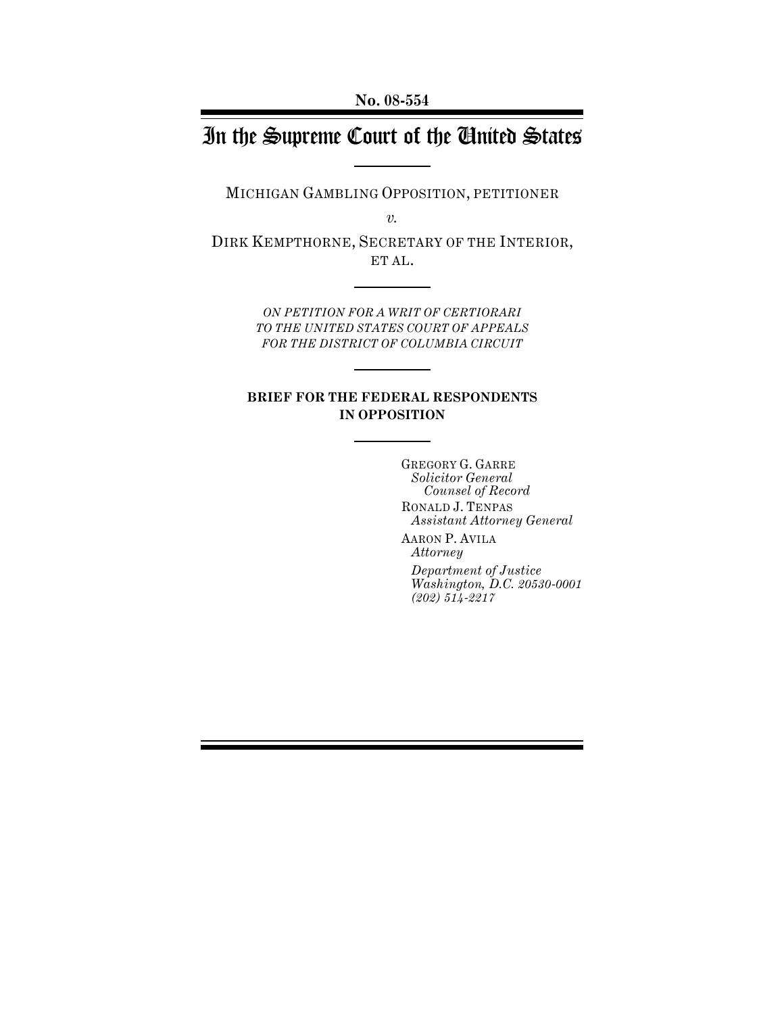# In the Supreme Court of the United States

MICHIGAN GAMBLING OPPOSITION, PETITIONER

*v.*

DIRK KEMPTHORNE, SECRETARY OF THE INTERIOR, ET AL.

> *ON PETITION FOR A WRIT OF CERTIORARI TO THE UNITED STATES COURT OF APPEALS FOR THE DISTRICT OF COLUMBIA CIRCUIT*

## **BRIEF FOR THE FEDERAL RESPONDENTS IN OPPOSITION**

GREGORY G. GARRE *Solicitor General Counsel of Record* RONALD J. TENPAS *Assistant Attorney General*

AARON P. AVILA *Attorney* 

*Department of Justice Washington, D.C. 20530-0001 (202) 514-2217*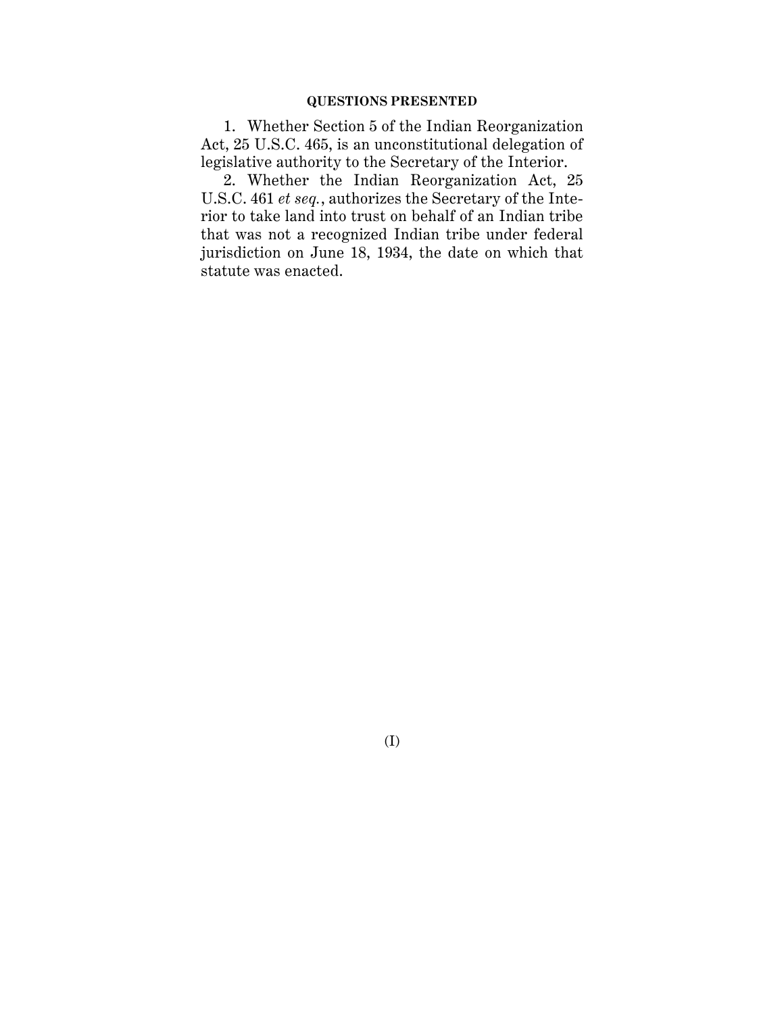### **QUESTIONS PRESENTED**

1. Whether Section 5 of the Indian Reorganization Act, 25 U.S.C. 465, is an unconstitutional delegation of legislative authority to the Secretary of the Interior.

2. Whether the Indian Reorganization Act, 25 U.S.C. 461 *et seq.*, authorizes the Secretary of the Interior to take land into trust on behalf of an Indian tribe that was not a recognized Indian tribe under federal jurisdiction on June 18, 1934, the date on which that statute was enacted.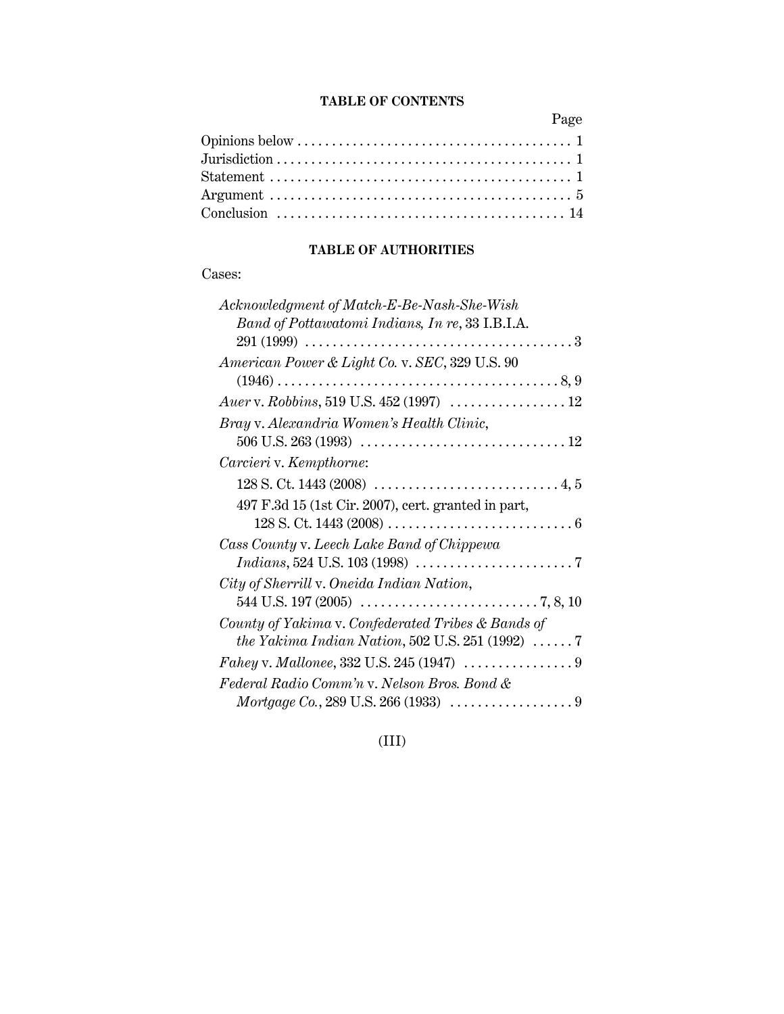## **TABLE OF CONTENTS**

Page

## **TABLE OF AUTHORITIES**

## Cases:

| Acknowledgment of Match-E-Be-Nash-She-Wish                      |
|-----------------------------------------------------------------|
| Band of Pottawatomi Indians, In re, 33 I.B.I.A.                 |
|                                                                 |
| American Power & Light Co. v. SEC, 329 U.S. 90                  |
|                                                                 |
|                                                                 |
| Bray v. Alexandria Women's Health Clinic,                       |
|                                                                 |
| Carcieri v. Kempthorne:                                         |
|                                                                 |
| 497 F.3d 15 (1st Cir. 2007), cert. granted in part,             |
|                                                                 |
| Cass County v. Leech Lake Band of Chippewa                      |
|                                                                 |
| City of Sherrill v. Oneida Indian Nation,                       |
|                                                                 |
| County of Yakima v. Confederated Tribes & Bands of              |
| the Yakima Indian Nation, 502 U.S. 251 (1992) $\ldots \ldots 7$ |
|                                                                 |
| Federal Radio Comm'n v. Nelson Bros. Bond &                     |
|                                                                 |

(III)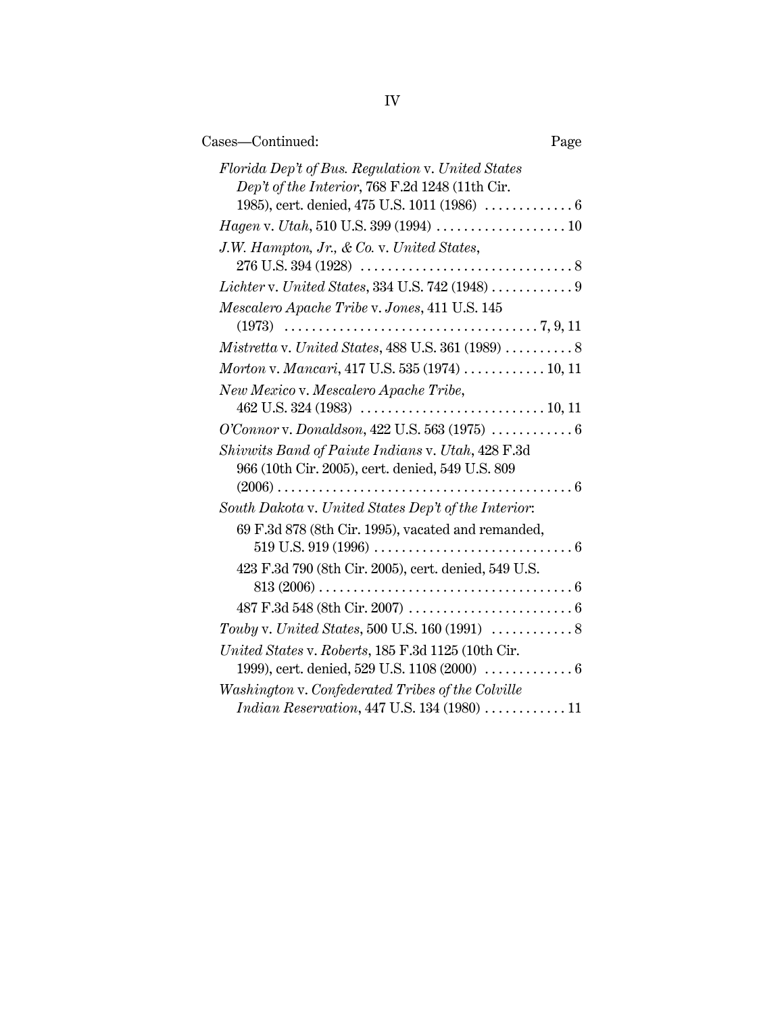| Cases-Continued:                                                                                      | Page |
|-------------------------------------------------------------------------------------------------------|------|
| Florida Dep't of Bus. Regulation v. United States<br>Dep't of the Interior, 768 F.2d 1248 (11th Cir.  |      |
|                                                                                                       |      |
| J.W. Hampton, Jr., & Co. v. United States,                                                            |      |
|                                                                                                       |      |
| Lichter v. United States, 334 U.S. 742 (1948)  9                                                      |      |
| Mescalero Apache Tribe v. Jones, 411 U.S. 145                                                         |      |
|                                                                                                       |      |
|                                                                                                       |      |
| Morton v. Mancari, 417 U.S. 535 (1974)  10, 11                                                        |      |
| New Mexico v. Mescalero Apache Tribe,                                                                 |      |
| O'Connor v. Donaldson, 422 U.S. 563 (1975) $\ldots \ldots \ldots \ldots 6$                            |      |
| Shivwits Band of Paiute Indians v. Utah, 428 F.3d<br>966 (10th Cir. 2005), cert. denied, 549 U.S. 809 |      |
| South Dakota v. United States Dep't of the Interior:                                                  |      |
| 69 F.3d 878 (8th Cir. 1995), vacated and remanded,                                                    |      |
|                                                                                                       |      |
| 423 F.3d 790 (8th Cir. 2005), cert. denied, 549 U.S.                                                  |      |
|                                                                                                       |      |
|                                                                                                       |      |
|                                                                                                       |      |
| United States v. Roberts, 185 F.3d 1125 (10th Cir.                                                    |      |
| 1999), cert. denied, 529 U.S. 1108 (2000)  6                                                          |      |
| Washington v. Confederated Tribes of the Colville                                                     |      |
| Indian Reservation, 447 U.S. 134 (1980) $\ldots \ldots \ldots \ldots 11$                              |      |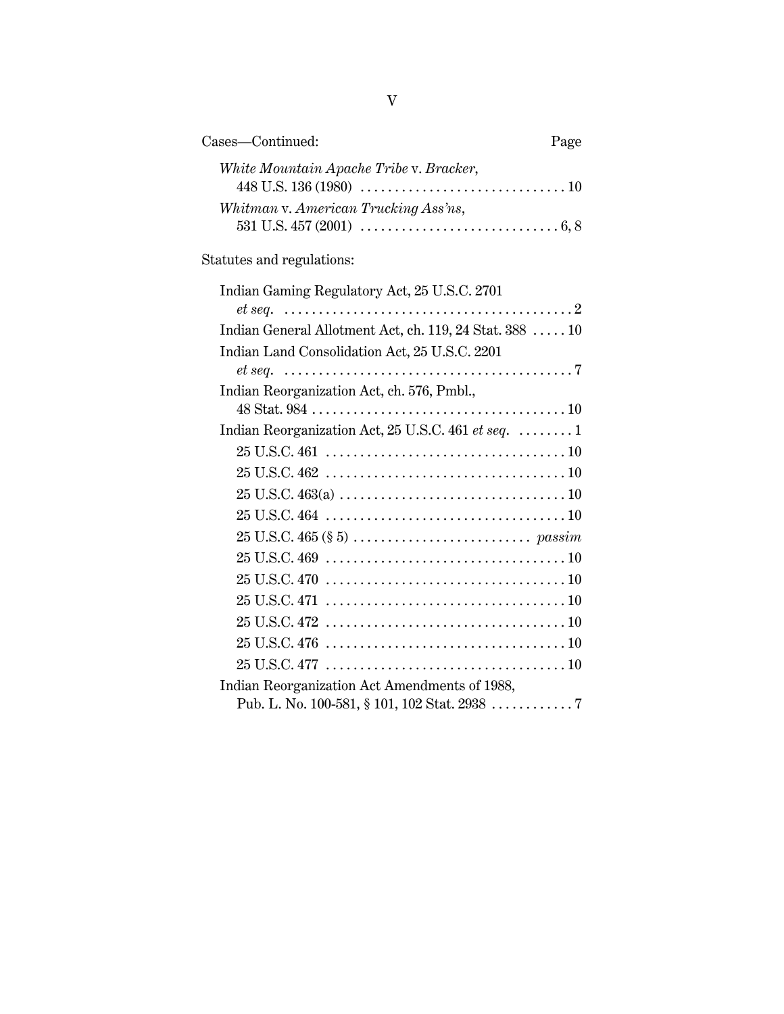| Cases—Continued:                        | Page |
|-----------------------------------------|------|
| White Mountain Apache Tribe v. Bracker, |      |
| Whitman v. American Trucking Ass'ns,    |      |

## Statutes and regulations:

| Indian Gaming Regulatory Act, 25 U.S.C. 2701                                                              |
|-----------------------------------------------------------------------------------------------------------|
|                                                                                                           |
| Indian General Allotment Act, ch. 119, 24 Stat. 388  10                                                   |
| Indian Land Consolidation Act, 25 U.S.C. 2201                                                             |
|                                                                                                           |
| Indian Reorganization Act, ch. 576, Pmbl.,                                                                |
|                                                                                                           |
| Indian Reorganization Act, 25 U.S.C. 461 et seq.  1                                                       |
|                                                                                                           |
|                                                                                                           |
|                                                                                                           |
|                                                                                                           |
| $25 \text{ U.S.C. } 465 \text{ ($8 5) } \ldots \ldots \ldots \ldots \ldots \ldots \ldots \text{ } passim$ |
|                                                                                                           |
|                                                                                                           |
|                                                                                                           |
|                                                                                                           |
|                                                                                                           |
|                                                                                                           |
| Indian Reorganization Act Amendments of 1988,                                                             |
| Pub. L. No. 100-581, § 101, 102 Stat. 2938 7                                                              |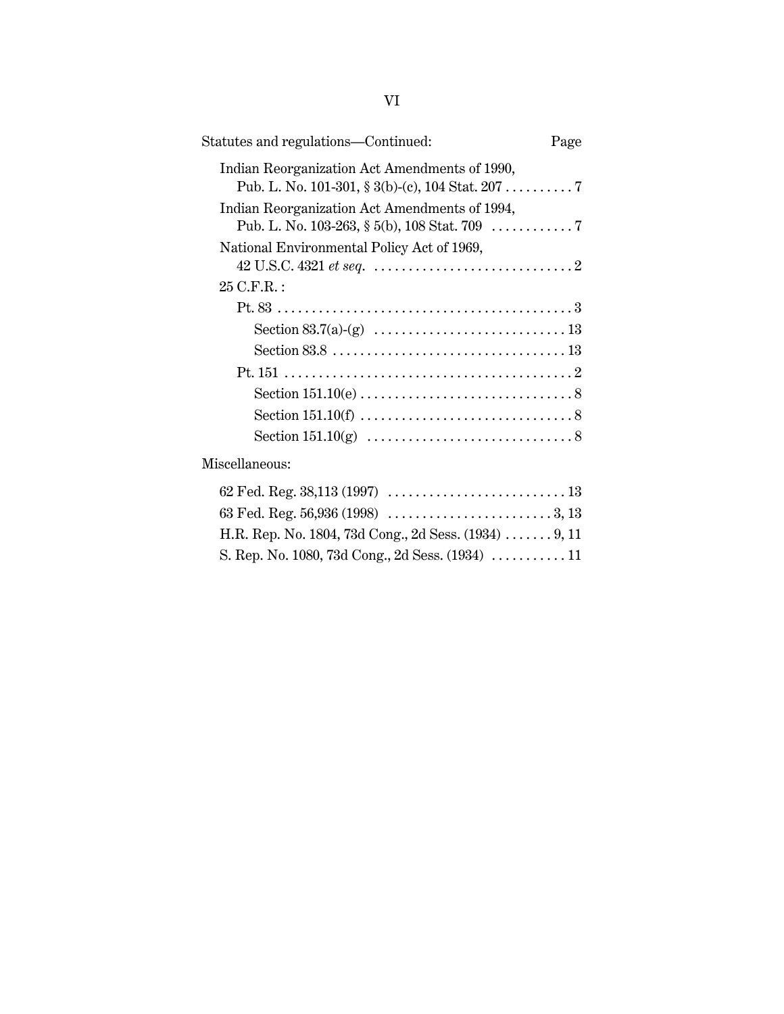| Statutes and regulations-Continued:                   | Page |
|-------------------------------------------------------|------|
| Indian Reorganization Act Amendments of 1990,         |      |
| Indian Reorganization Act Amendments of 1994,         |      |
| National Environmental Policy Act of 1969,            |      |
| 25 C.F.R.:                                            |      |
|                                                       |      |
|                                                       |      |
|                                                       |      |
|                                                       |      |
|                                                       |      |
|                                                       |      |
|                                                       |      |
| Miscellaneous:                                        |      |
|                                                       |      |
|                                                       |      |
| H.R. Rep. No. 1804, 73d Cong., 2d Sess. (1934)  9, 11 |      |
| S. Rep. No. 1080, 73d Cong., 2d Sess. (1934)  11      |      |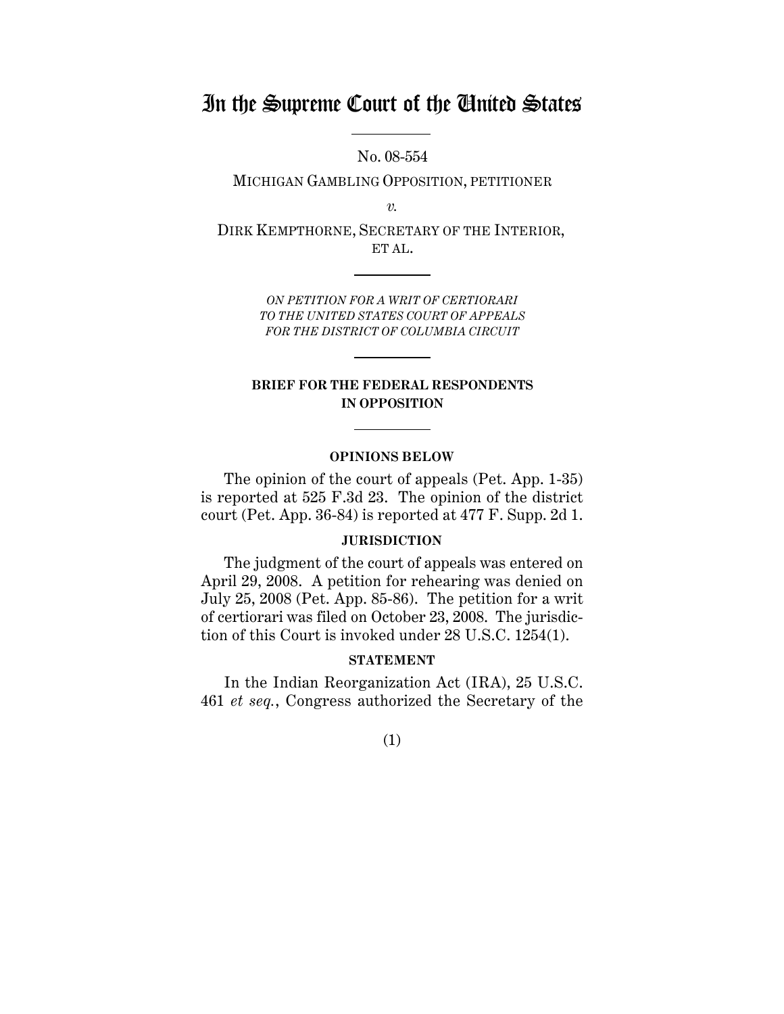## In the Supreme Court of the United States

No. 08-554

MICHIGAN GAMBLING OPPOSITION, PETITIONER

*v.*

DIRK KEMPTHORNE, SECRETARY OF THE INTERIOR, ET AL.

> *ON PETITION FOR A WRIT OF CERTIORARI TO THE UNITED STATES COURT OF APPEALS FOR THE DISTRICT OF COLUMBIA CIRCUIT*

### **BRIEF FOR THE FEDERAL RESPONDENTS IN OPPOSITION**

#### **OPINIONS BELOW**

The opinion of the court of appeals (Pet. App. 1-35) is reported at 525 F.3d 23. The opinion of the district court (Pet. App. 36-84) is reported at 477 F. Supp. 2d 1.

### **JURISDICTION**

The judgment of the court of appeals was entered on April 29, 2008. A petition for rehearing was denied on July 25, 2008 (Pet. App. 85-86). The petition for a writ of certiorari was filed on October 23, 2008. The jurisdiction of this Court is invoked under 28 U.S.C. 1254(1).

### **STATEMENT**

In the Indian Reorganization Act (IRA), 25 U.S.C. 461 *et seq.*, Congress authorized the Secretary of the

(1)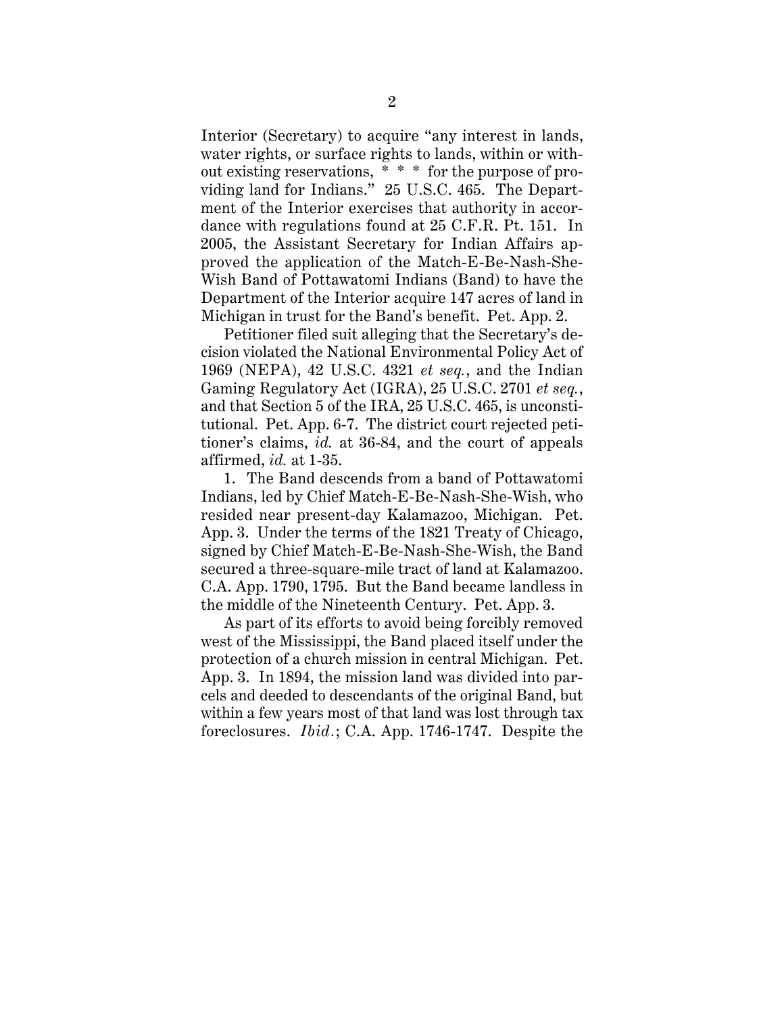Interior (Secretary) to acquire "any interest in lands, water rights, or surface rights to lands, within or without existing reservations,  $*\ast$  for the purpose of providing land for Indians." 25 U.S.C. 465. The Department of the Interior exercises that authority in accordance with regulations found at 25 C.F.R. Pt. 151. In 2005, the Assistant Secretary for Indian Affairs approved the application of the Match-E-Be-Nash-She-Wish Band of Pottawatomi Indians (Band) to have the Department of the Interior acquire 147 acres of land in Michigan in trust for the Band's benefit. Pet. App. 2.

Petitioner filed suit alleging that the Secretary's decision violated the National Environmental Policy Act of 1969 (NEPA), 42 U.S.C. 4321 *et seq.*, and the Indian Gaming Regulatory Act (IGRA), 25 U.S.C. 2701 *et seq.*, and that Section 5 of the IRA, 25 U.S.C. 465, is unconstitutional. Pet. App. 6-7. The district court rejected petitioner's claims, *id.* at 36-84, and the court of appeals affirmed, *id.* at 1-35.

1. The Band descends from a band of Pottawatomi Indians, led by Chief Match-E-Be-Nash-She-Wish, who resided near present-day Kalamazoo, Michigan. Pet. App. 3. Under the terms of the 1821 Treaty of Chicago, signed by Chief Match-E-Be-Nash-She-Wish, the Band secured a three-square-mile tract of land at Kalamazoo. C.A. App. 1790, 1795. But the Band became landless in the middle of the Nineteenth Century. Pet. App. 3.

As part of its efforts to avoid being forcibly removed west of the Mississippi, the Band placed itself under the protection of a church mission in central Michigan. Pet. App. 3. In 1894, the mission land was divided into parcels and deeded to descendants of the original Band, but within a few years most of that land was lost through tax foreclosures. *Ibid.*; C.A. App. 1746-1747. Despite the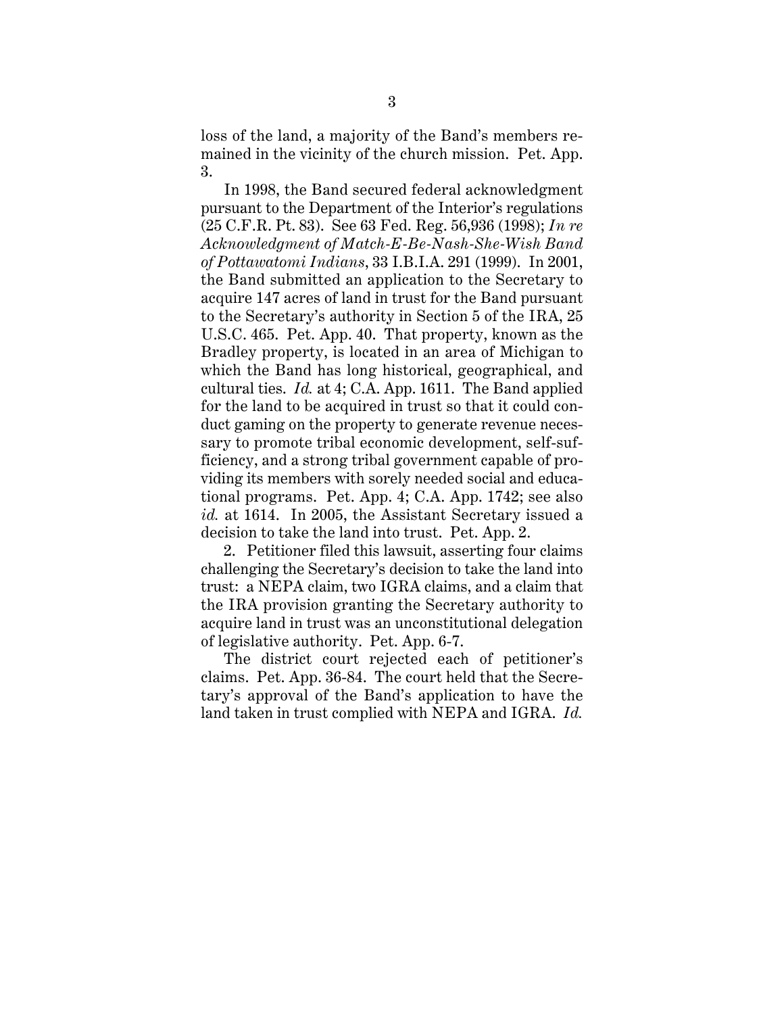loss of the land, a majority of the Band's members remained in the vicinity of the church mission. Pet. App. 3.

In 1998, the Band secured federal acknowledgment pursuant to the Department of the Interior's regulations (25 C.F.R. Pt. 83). See 63 Fed. Reg. 56,936 (1998); *In re Acknowledgment of Match-E-Be-Nash-She-Wish Band of Pottawatomi Indians*, 33 I.B.I.A. 291 (1999). In 2001, the Band submitted an application to the Secretary to acquire 147 acres of land in trust for the Band pursuant to the Secretary's authority in Section 5 of the IRA, 25 U.S.C. 465. Pet. App. 40. That property, known as the Bradley property, is located in an area of Michigan to which the Band has long historical, geographical, and cultural ties. *Id.* at 4; C.A. App. 1611. The Band applied for the land to be acquired in trust so that it could conduct gaming on the property to generate revenue necessary to promote tribal economic development, self-sufficiency, and a strong tribal government capable of providing its members with sorely needed social and educational programs. Pet. App. 4; C.A. App. 1742; see also *id.* at 1614. In 2005, the Assistant Secretary issued a decision to take the land into trust. Pet. App. 2.

2. Petitioner filed this lawsuit, asserting four claims challenging the Secretary's decision to take the land into trust: a NEPA claim, two IGRA claims, and a claim that the IRA provision granting the Secretary authority to acquire land in trust was an unconstitutional delegation of legislative authority. Pet. App. 6-7.

The district court rejected each of petitioner's claims. Pet. App. 36-84. The court held that the Secretary's approval of the Band's application to have the land taken in trust complied with NEPA and IGRA. *Id.*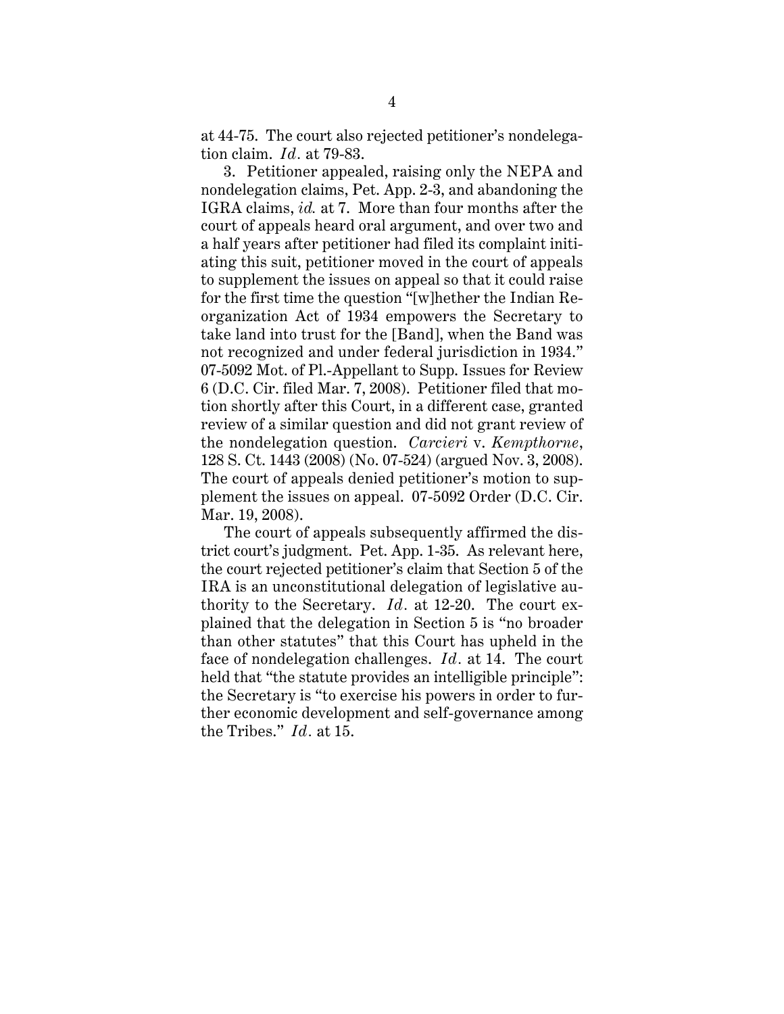at 44-75. The court also rejected petitioner's nondelegation claim. *Id.* at 79-83.

3. Petitioner appealed, raising only the NEPA and nondelegation claims, Pet. App. 2-3, and abandoning the IGRA claims, *id.* at 7. More than four months after the court of appeals heard oral argument, and over two and a half years after petitioner had filed its complaint initiating this suit, petitioner moved in the court of appeals to supplement the issues on appeal so that it could raise for the first time the question "[w]hether the Indian Reorganization Act of 1934 empowers the Secretary to take land into trust for the [Band], when the Band was not recognized and under federal jurisdiction in 1934." 07-5092 Mot. of Pl.-Appellant to Supp. Issues for Review 6 (D.C. Cir. filed Mar. 7, 2008). Petitioner filed that motion shortly after this Court, in a different case, granted review of a similar question and did not grant review of the nondelegation question. *Carcieri* v. *Kempthorne*, 128 S. Ct. 1443 (2008) (No. 07-524) (argued Nov. 3, 2008). The court of appeals denied petitioner's motion to supplement the issues on appeal. 07-5092 Order (D.C. Cir. Mar. 19, 2008).

The court of appeals subsequently affirmed the district court's judgment. Pet. App. 1-35. As relevant here, the court rejected petitioner's claim that Section 5 of the IRA is an unconstitutional delegation of legislative authority to the Secretary. *Id.* at 12-20. The court explained that the delegation in Section 5 is "no broader than other statutes" that this Court has upheld in the face of nondelegation challenges. *Id.* at 14. The court held that "the statute provides an intelligible principle": the Secretary is "to exercise his powers in order to further economic development and self-governance among the Tribes." *Id.* at 15.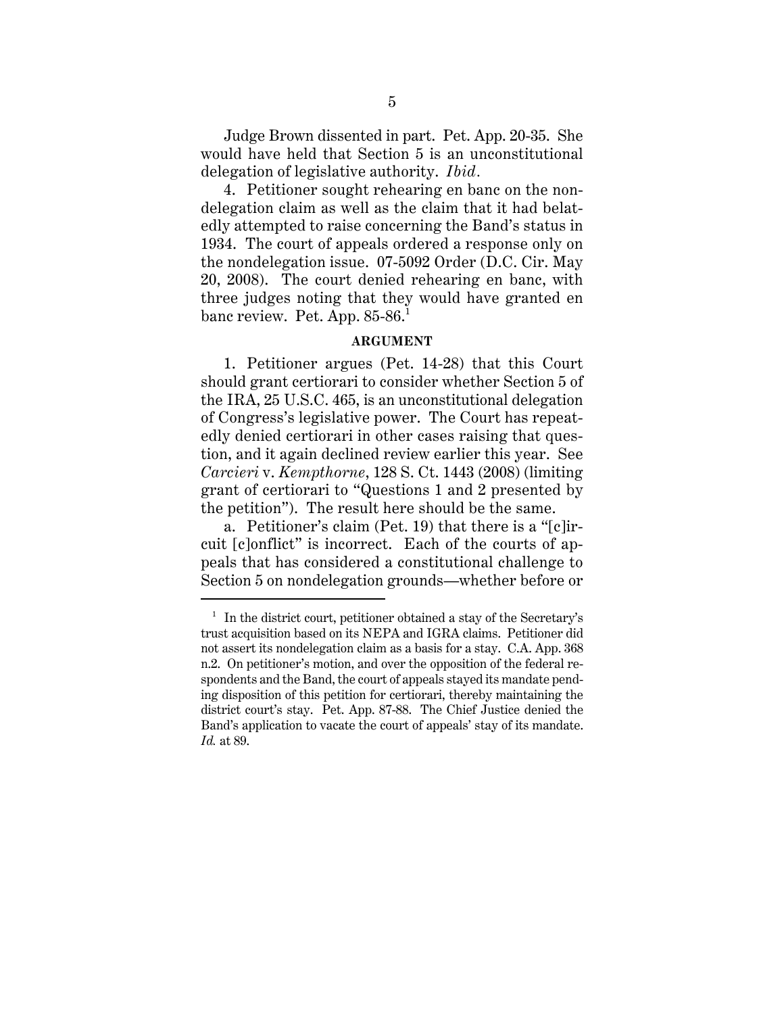Judge Brown dissented in part. Pet. App. 20-35. She would have held that Section 5 is an unconstitutional delegation of legislative authority. *Ibid.*

4. Petitioner sought rehearing en banc on the nondelegation claim as well as the claim that it had belatedly attempted to raise concerning the Band's status in 1934. The court of appeals ordered a response only on the nondelegation issue. 07-5092 Order (D.C. Cir. May 20, 2008). The court denied rehearing en banc, with three judges noting that they would have granted en banc review. Pet. App.  $85-86$ <sup>1</sup>

### **ARGUMENT**

1. Petitioner argues (Pet. 14-28) that this Court should grant certiorari to consider whether Section 5 of the IRA, 25 U.S.C. 465, is an unconstitutional delegation of Congress's legislative power. The Court has repeatedly denied certiorari in other cases raising that question, and it again declined review earlier this year. See *Carcieri* v. *Kempthorne*, 128 S. Ct. 1443 (2008) (limiting grant of certiorari to "Questions 1 and 2 presented by the petition"). The result here should be the same.

a. Petitioner's claim (Pet. 19) that there is a "[c]ircuit [c]onflict" is incorrect. Each of the courts of appeals that has considered a constitutional challenge to Section 5 on nondelegation grounds—whether before or

 $1$  In the district court, petitioner obtained a stay of the Secretary's trust acquisition based on its NEPA and IGRA claims. Petitioner did not assert its nondelegation claim as a basis for a stay. C.A. App. 368 n.2. On petitioner's motion, and over the opposition of the federal respondents and the Band, the court of appeals stayed its mandate pending disposition of this petition for certiorari, thereby maintaining the district court's stay. Pet. App. 87-88. The Chief Justice denied the Band's application to vacate the court of appeals' stay of its mandate. *Id.* at 89.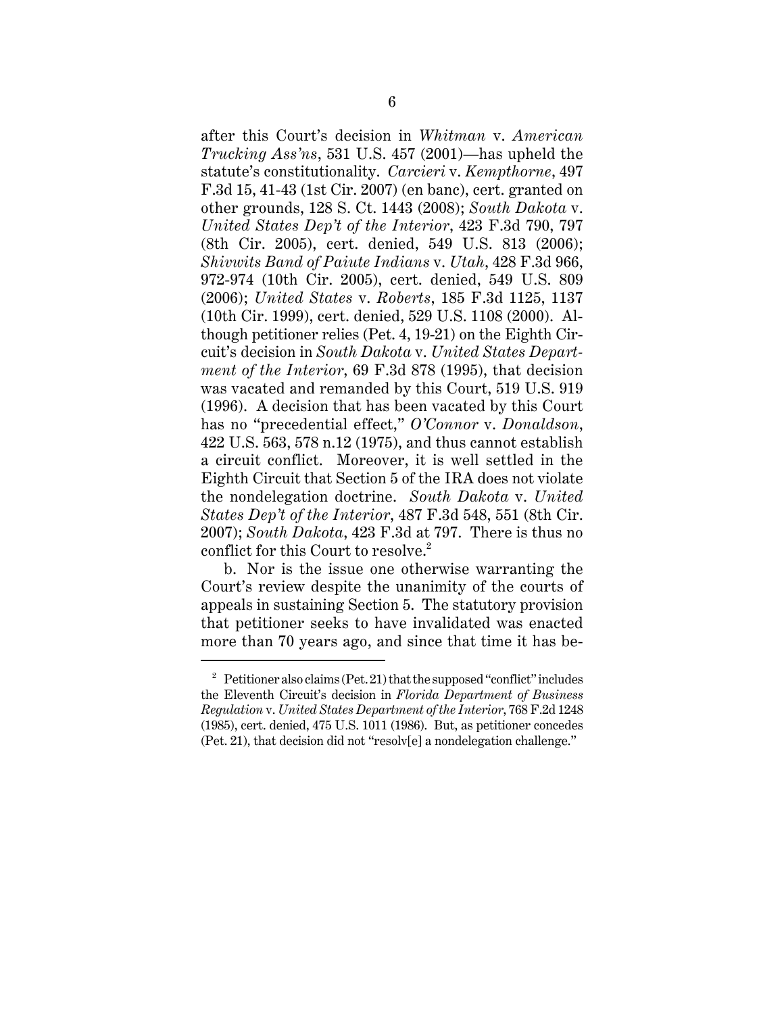after this Court's decision in *Whitman* v. *American Trucking Ass'ns*, 531 U.S. 457 (2001)—has upheld the statute's constitutionality. *Carcieri* v. *Kempthorne*, 497 F.3d 15, 41-43 (1st Cir. 2007) (en banc), cert. granted on other grounds, 128 S. Ct. 1443 (2008); *South Dakota* v. *United States Dep't of the Interior*, 423 F.3d 790, 797 (8th Cir. 2005), cert. denied, 549 U.S. 813 (2006); *Shivwits Band of Paiute Indians* v. *Utah*, 428 F.3d 966, 972-974 (10th Cir. 2005), cert. denied, 549 U.S. 809 (2006); *United States* v. *Roberts*, 185 F.3d 1125, 1137 (10th Cir. 1999), cert. denied, 529 U.S. 1108 (2000). Although petitioner relies (Pet. 4, 19-21) on the Eighth Circuit's decision in *South Dakota* v. *United States Department of the Interior*, 69 F.3d 878 (1995), that decision was vacated and remanded by this Court, 519 U.S. 919 (1996). A decision that has been vacated by this Court has no "precedential effect," *O'Connor* v. *Donaldson*, 422 U.S. 563, 578 n.12 (1975), and thus cannot establish a circuit conflict. Moreover, it is well settled in the Eighth Circuit that Section 5 of the IRA does not violate the nondelegation doctrine. *South Dakota* v. *United States Dep't of the Interior*, 487 F.3d 548, 551 (8th Cir. 2007); *South Dakota*, 423 F.3d at 797. There is thus no conflict for this Court to resolve.<sup>2</sup>

b. Nor is the issue one otherwise warranting the Court's review despite the unanimity of the courts of appeals in sustaining Section 5. The statutory provision that petitioner seeks to have invalidated was enacted more than 70 years ago, and since that time it has be-

<sup>&</sup>lt;sup>2</sup> Petitioner also claims (Pet. 21) that the supposed "conflict" includes the Eleventh Circuit's decision in *Florida Department of Business Regulation* v. *United States Department of the Interior*, 768 F.2d 1248 (1985), cert. denied, 475 U.S. 1011 (1986). But, as petitioner concedes (Pet. 21), that decision did not "resolv[e] a nondelegation challenge."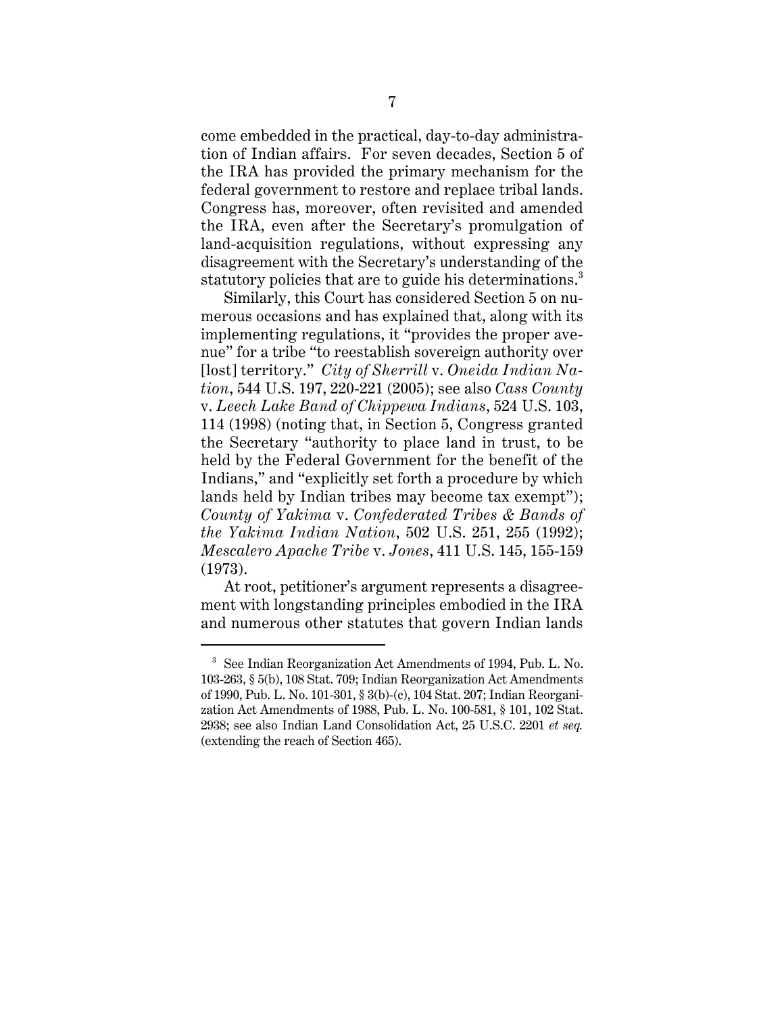come embedded in the practical, day-to-day administration of Indian affairs. For seven decades, Section 5 of the IRA has provided the primary mechanism for the federal government to restore and replace tribal lands. Congress has, moreover, often revisited and amended the IRA, even after the Secretary's promulgation of land-acquisition regulations, without expressing any disagreement with the Secretary's understanding of the statutory policies that are to guide his determinations.<sup>3</sup>

Similarly, this Court has considered Section 5 on numerous occasions and has explained that, along with its implementing regulations, it "provides the proper avenue" for a tribe "to reestablish sovereign authority over [lost] territory." *City of Sherrill* v. *Oneida Indian Nation*, 544 U.S. 197, 220-221 (2005); see also *Cass County* v. *Leech Lake Band of Chippewa Indians*, 524 U.S. 103, 114 (1998) (noting that, in Section 5, Congress granted the Secretary "authority to place land in trust, to be held by the Federal Government for the benefit of the Indians," and "explicitly set forth a procedure by which lands held by Indian tribes may become tax exempt"); *County of Yakima* v. *Confederated Tribes & Bands of the Yakima Indian Nation*, 502 U.S. 251, 255 (1992); *Mescalero Apache Tribe* v. *Jones*, 411 U.S. 145, 155-159 (1973).

At root, petitioner's argument represents a disagreement with longstanding principles embodied in the IRA and numerous other statutes that govern Indian lands

<sup>3</sup> See Indian Reorganization Act Amendments of 1994, Pub. L. No. 103-263, § 5(b), 108 Stat. 709; Indian Reorganization Act Amendments of 1990, Pub. L. No. 101-301, § 3(b)-(c), 104 Stat. 207; Indian Reorganization Act Amendments of 1988, Pub. L. No. 100-581, § 101, 102 Stat. 2938; see also Indian Land Consolidation Act, 25 U.S.C. 2201 *et seq.* (extending the reach of Section 465).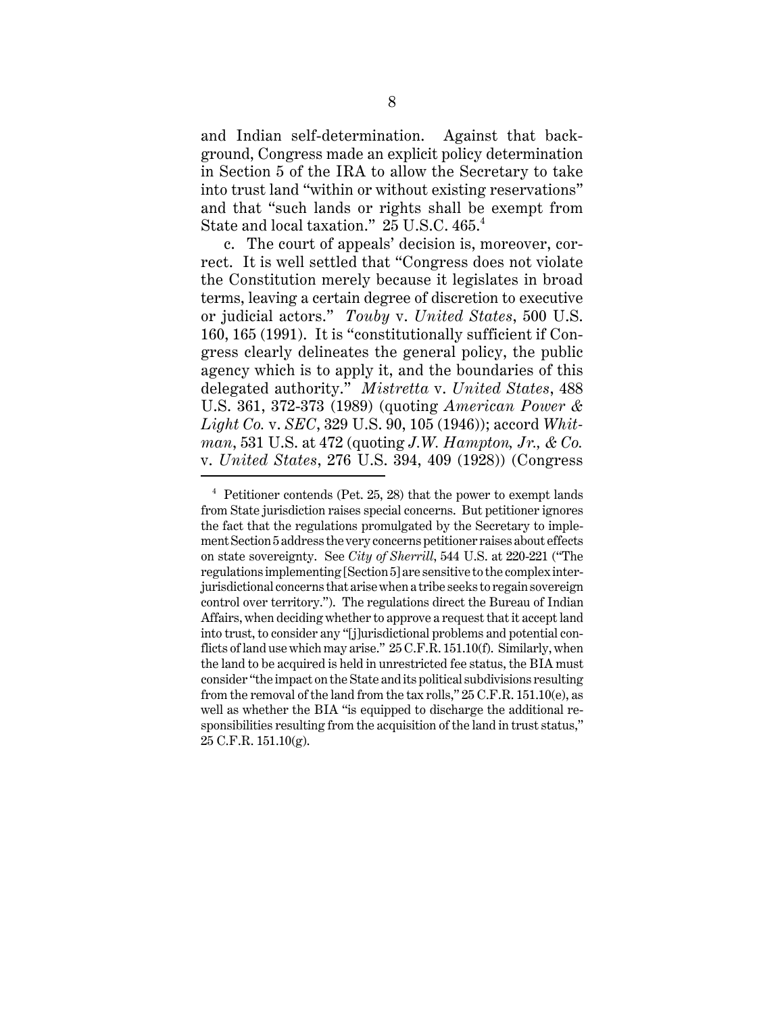and Indian self-determination. Against that background, Congress made an explicit policy determination in Section 5 of the IRA to allow the Secretary to take into trust land "within or without existing reservations" and that "such lands or rights shall be exempt from State and local taxation." 25 U.S.C. 465.<sup>4</sup>

c. The court of appeals' decision is, moreover, correct. It is well settled that "Congress does not violate the Constitution merely because it legislates in broad terms, leaving a certain degree of discretion to executive or judicial actors." *Touby* v. *United States*, 500 U.S. 160, 165 (1991). It is "constitutionally sufficient if Congress clearly delineates the general policy, the public agency which is to apply it, and the boundaries of this delegated authority." *Mistretta* v. *United States*, 488 U.S. 361, 372-373 (1989) (quoting *American Power & Light Co.* v. *SEC*, 329 U.S. 90, 105 (1946)); accord *Whitman*, 531 U.S. at 472 (quoting *J.W. Hampton, Jr., & Co.* v. *United States*, 276 U.S. 394, 409 (1928)) (Congress

 $4$  Petitioner contends (Pet. 25, 28) that the power to exempt lands from State jurisdiction raises special concerns. But petitioner ignores the fact that the regulations promulgated by the Secretary to implement Section 5 address the very concerns petitioner raises about effects on state sovereignty. See *City of Sherrill*, 544 U.S. at 220-221 ("The regulations implementing [Section 5] are sensitive to the complex interjurisdictional concerns that arise when a tribe seeks to regain sovereign control over territory."). The regulations direct the Bureau of Indian Affairs, when deciding whether to approve a request that it accept land into trust, to consider any "[j]urisdictional problems and potential conflicts of land use which may arise." 25 C.F.R. 151.10(f). Similarly, when the land to be acquired is held in unrestricted fee status, the BIA must consider "the impact on the State and its political subdivisions resulting from the removal of the land from the tax rolls," 25 C.F.R. 151.10(e), as well as whether the BIA "is equipped to discharge the additional responsibilities resulting from the acquisition of the land in trust status," 25 C.F.R. 151.10(g).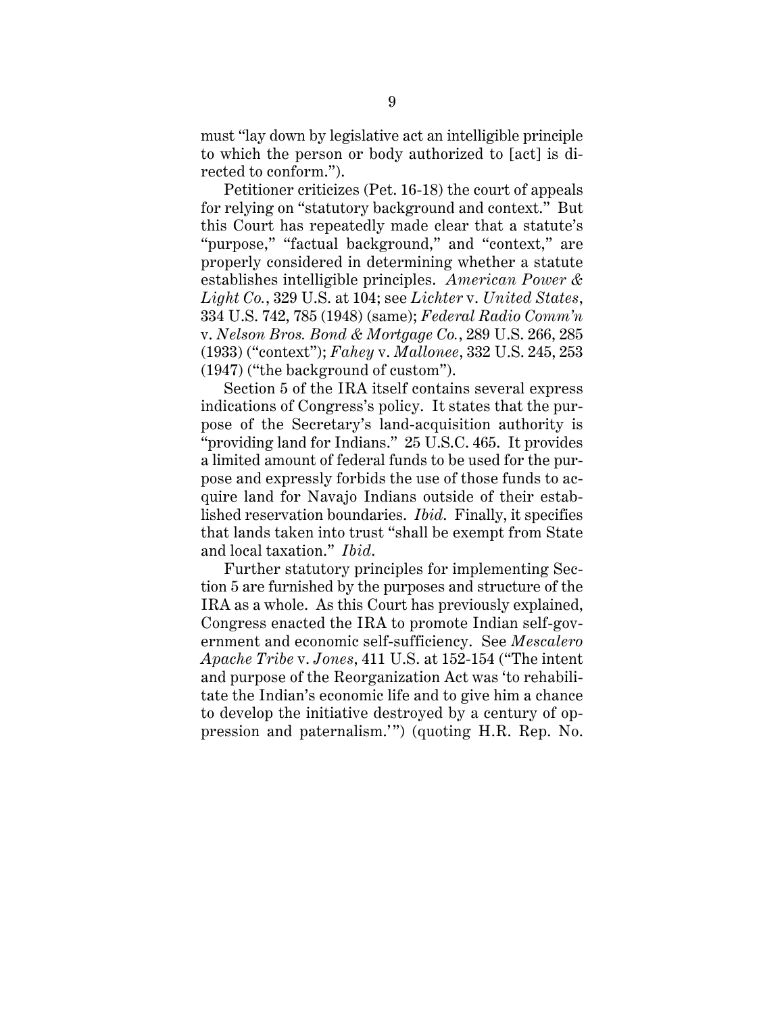must "lay down by legislative act an intelligible principle to which the person or body authorized to [act] is directed to conform.").

Petitioner criticizes (Pet. 16-18) the court of appeals for relying on "statutory background and context." But this Court has repeatedly made clear that a statute's "purpose," "factual background," and "context," are properly considered in determining whether a statute establishes intelligible principles. *American Power & Light Co.*, 329 U.S. at 104; see *Lichter* v. *United States*, 334 U.S. 742, 785 (1948) (same); *Federal Radio Comm'n* v. *Nelson Bros. Bond & Mortgage Co.*, 289 U.S. 266, 285 (1933) ("context"); *Fahey* v. *Mallonee*, 332 U.S. 245, 253 (1947) ("the background of custom").

Section 5 of the IRA itself contains several express indications of Congress's policy. It states that the purpose of the Secretary's land-acquisition authority is "providing land for Indians." 25 U.S.C. 465. It provides a limited amount of federal funds to be used for the purpose and expressly forbids the use of those funds to acquire land for Navajo Indians outside of their established reservation boundaries. *Ibid*. Finally, it specifies that lands taken into trust "shall be exempt from State and local taxation." *Ibid*.

Further statutory principles for implementing Section 5 are furnished by the purposes and structure of the IRA as a whole. As this Court has previously explained, Congress enacted the IRA to promote Indian self-government and economic self-sufficiency. See *Mescalero Apache Tribe* v. *Jones*, 411 U.S. at 152-154 ("The intent and purpose of the Reorganization Act was 'to rehabilitate the Indian's economic life and to give him a chance to develop the initiative destroyed by a century of oppression and paternalism.'") (quoting H.R. Rep. No.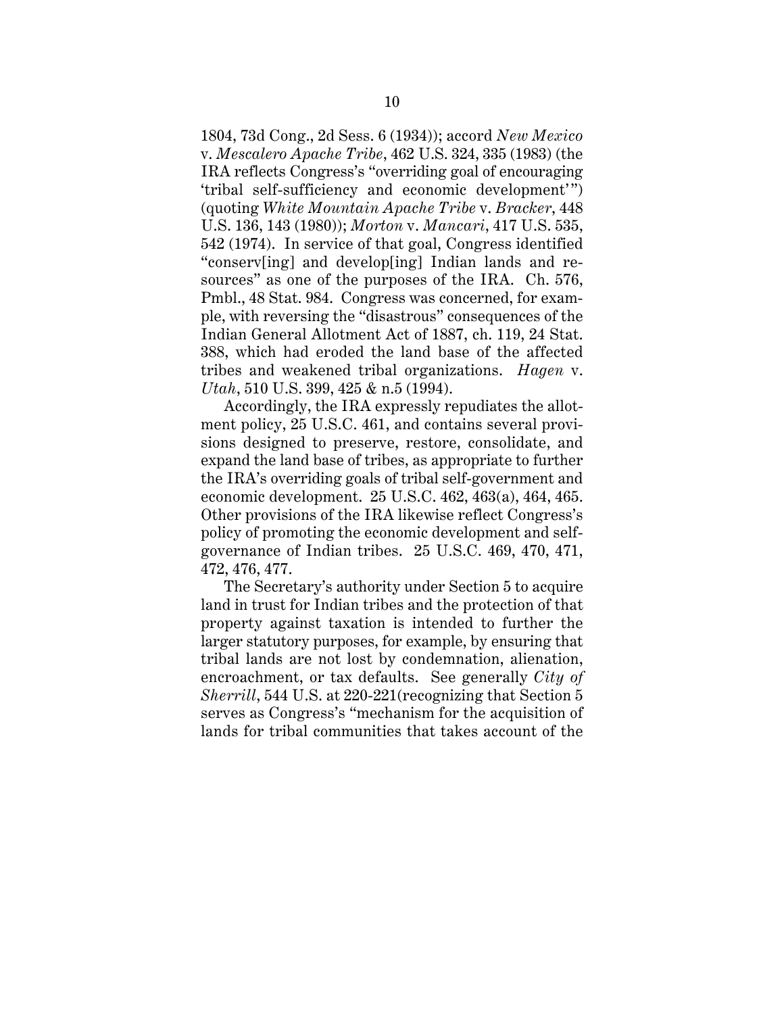1804, 73d Cong., 2d Sess. 6 (1934)); accord *New Mexico* v. *Mescalero Apache Tribe*, 462 U.S. 324, 335 (1983) (the IRA reflects Congress's "overriding goal of encouraging 'tribal self-sufficiency and economic development'") (quoting *White Mountain Apache Tribe* v. *Bracker*, 448 U.S. 136, 143 (1980)); *Morton* v. *Mancari*, 417 U.S. 535, 542 (1974). In service of that goal, Congress identified "conserv[ing] and develop[ing] Indian lands and resources" as one of the purposes of the IRA. Ch. 576, Pmbl., 48 Stat. 984. Congress was concerned, for example, with reversing the "disastrous" consequences of the Indian General Allotment Act of 1887, ch. 119, 24 Stat. 388, which had eroded the land base of the affected tribes and weakened tribal organizations. *Hagen* v. *Utah*, 510 U.S. 399, 425 & n.5 (1994).

Accordingly, the IRA expressly repudiates the allotment policy, 25 U.S.C. 461, and contains several provisions designed to preserve, restore, consolidate, and expand the land base of tribes, as appropriate to further the IRA's overriding goals of tribal self-government and economic development. 25 U.S.C. 462, 463(a), 464, 465. Other provisions of the IRA likewise reflect Congress's policy of promoting the economic development and selfgovernance of Indian tribes. 25 U.S.C. 469, 470, 471, 472, 476, 477.

The Secretary's authority under Section 5 to acquire land in trust for Indian tribes and the protection of that property against taxation is intended to further the larger statutory purposes, for example, by ensuring that tribal lands are not lost by condemnation, alienation, encroachment, or tax defaults. See generally *City of Sherrill*, 544 U.S. at 220-221(recognizing that Section 5 serves as Congress's "mechanism for the acquisition of lands for tribal communities that takes account of the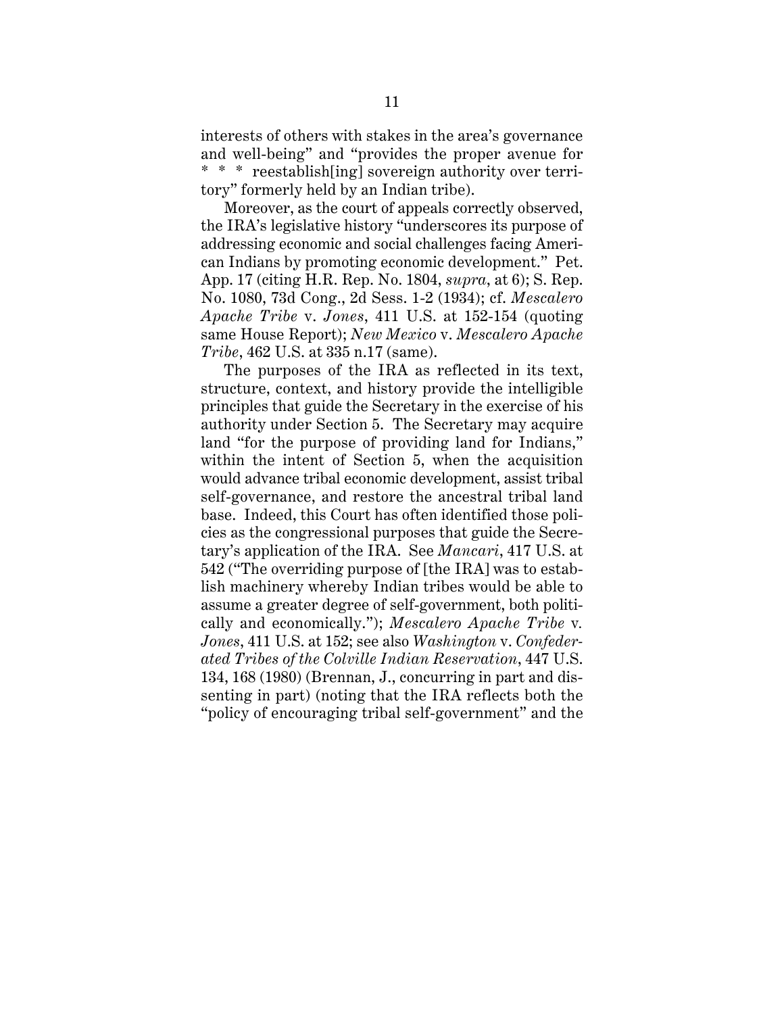interests of others with stakes in the area's governance and well-being" and "provides the proper avenue for \* \* \* reestablish[ing] sovereign authority over territory" formerly held by an Indian tribe).

Moreover, as the court of appeals correctly observed, the IRA's legislative history "underscores its purpose of addressing economic and social challenges facing American Indians by promoting economic development." Pet. App. 17 (citing H.R. Rep. No. 1804, *supra*, at 6); S. Rep. No. 1080, 73d Cong., 2d Sess. 1-2 (1934); cf. *Mescalero Apache Tribe* v. *Jones*, 411 U.S. at 152-154 (quoting same House Report); *New Mexico* v. *Mescalero Apache Tribe*, 462 U.S. at 335 n.17 (same).

The purposes of the IRA as reflected in its text, structure, context, and history provide the intelligible principles that guide the Secretary in the exercise of his authority under Section 5. The Secretary may acquire land "for the purpose of providing land for Indians," within the intent of Section 5, when the acquisition would advance tribal economic development, assist tribal self-governance, and restore the ancestral tribal land base. Indeed, this Court has often identified those policies as the congressional purposes that guide the Secretary's application of the IRA. See *Mancari*, 417 U.S. at 542 ("The overriding purpose of [the IRA] was to establish machinery whereby Indian tribes would be able to assume a greater degree of self-government, both politically and economically."); *Mescalero Apache Tribe* v*. Jones*, 411 U.S. at 152; see also *Washington* v. *Confederated Tribes of the Colville Indian Reservation*, 447 U.S. 134, 168 (1980) (Brennan, J., concurring in part and dissenting in part) (noting that the IRA reflects both the "policy of encouraging tribal self-government" and the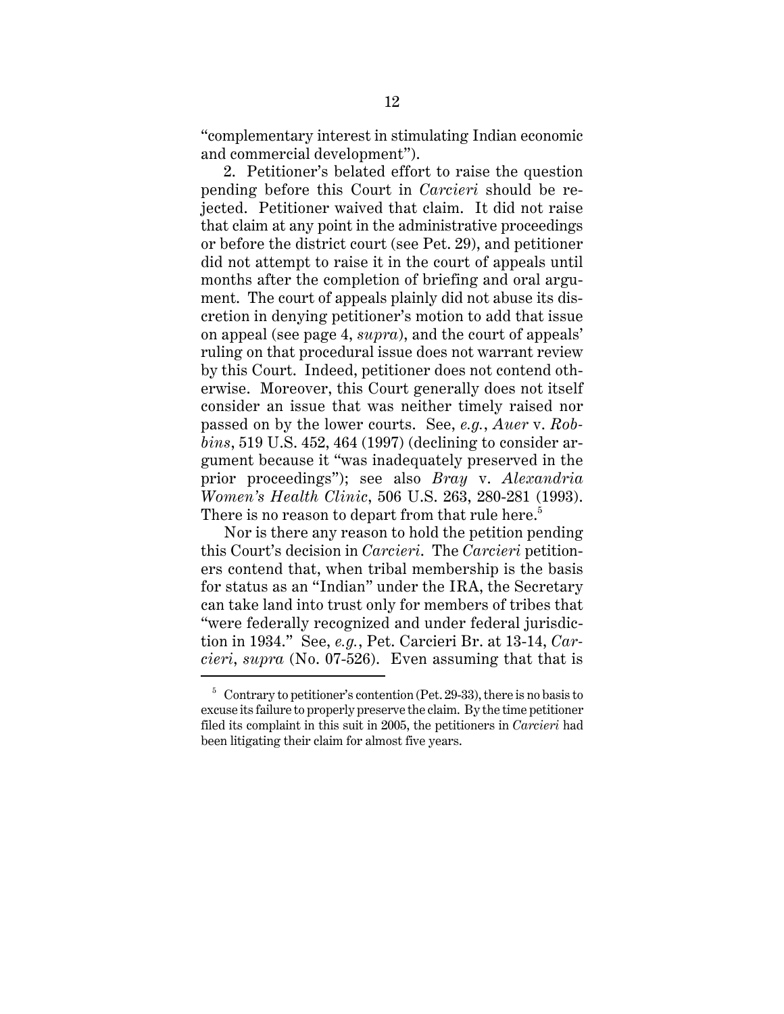"complementary interest in stimulating Indian economic and commercial development").

2. Petitioner's belated effort to raise the question pending before this Court in *Carcieri* should be rejected. Petitioner waived that claim. It did not raise that claim at any point in the administrative proceedings or before the district court (see Pet. 29), and petitioner did not attempt to raise it in the court of appeals until months after the completion of briefing and oral argument. The court of appeals plainly did not abuse its discretion in denying petitioner's motion to add that issue on appeal (see page 4, *supra*), and the court of appeals' ruling on that procedural issue does not warrant review by this Court. Indeed, petitioner does not contend otherwise. Moreover, this Court generally does not itself consider an issue that was neither timely raised nor passed on by the lower courts. See, *e.g.*, *Auer* v. *Robbins*, 519 U.S. 452, 464 (1997) (declining to consider argument because it "was inadequately preserved in the prior proceedings"); see also *Bray* v. *Alexandria Women's Health Clinic*, 506 U.S. 263, 280-281 (1993). There is no reason to depart from that rule here.<sup>5</sup>

Nor is there any reason to hold the petition pending this Court's decision in *Carcieri*. The *Carcieri* petitioners contend that, when tribal membership is the basis for status as an "Indian" under the IRA, the Secretary can take land into trust only for members of tribes that "were federally recognized and under federal jurisdiction in 1934." See, *e.g.*, Pet. Carcieri Br. at 13-14, *Carcieri*, *supra* (No. 07-526). Even assuming that that is

 $5$  Contrary to petitioner's contention (Pet. 29-33), there is no basis to excuse its failure to properly preserve the claim. By the time petitioner filed its complaint in this suit in 2005, the petitioners in *Carcieri* had been litigating their claim for almost five years.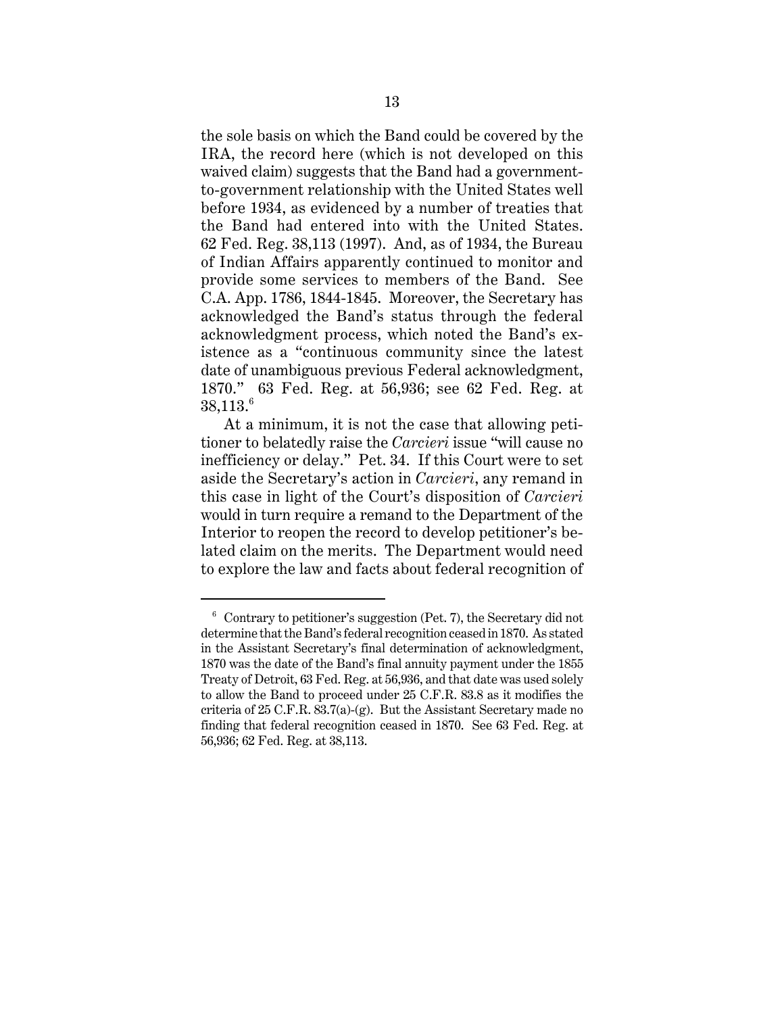the sole basis on which the Band could be covered by the IRA, the record here (which is not developed on this waived claim) suggests that the Band had a governmentto-government relationship with the United States well before 1934, as evidenced by a number of treaties that the Band had entered into with the United States. 62 Fed. Reg. 38,113 (1997). And, as of 1934, the Bureau of Indian Affairs apparently continued to monitor and provide some services to members of the Band. See C.A. App. 1786, 1844-1845. Moreover, the Secretary has acknowledged the Band's status through the federal acknowledgment process, which noted the Band's existence as a "continuous community since the latest date of unambiguous previous Federal acknowledgment, 1870." 63 Fed. Reg. at 56,936; see 62 Fed. Reg. at  $38,113.^6$ 

At a minimum, it is not the case that allowing petitioner to belatedly raise the *Carcieri* issue "will cause no inefficiency or delay." Pet. 34. If this Court were to set aside the Secretary's action in *Carcieri*, any remand in this case in light of the Court's disposition of *Carcieri* would in turn require a remand to the Department of the Interior to reopen the record to develop petitioner's belated claim on the merits. The Department would need to explore the law and facts about federal recognition of

 $6$  Contrary to petitioner's suggestion (Pet. 7), the Secretary did not determine that the Band's federal recognition ceased in 1870. As stated in the Assistant Secretary's final determination of acknowledgment, 1870 was the date of the Band's final annuity payment under the 1855 Treaty of Detroit, 63 Fed. Reg. at 56,936, and that date was used solely to allow the Band to proceed under 25 C.F.R. 83.8 as it modifies the criteria of  $25$  C.F.R.  $83.7(a)-(g)$ . But the Assistant Secretary made no finding that federal recognition ceased in 1870. See 63 Fed. Reg. at 56,936; 62 Fed. Reg. at 38,113.